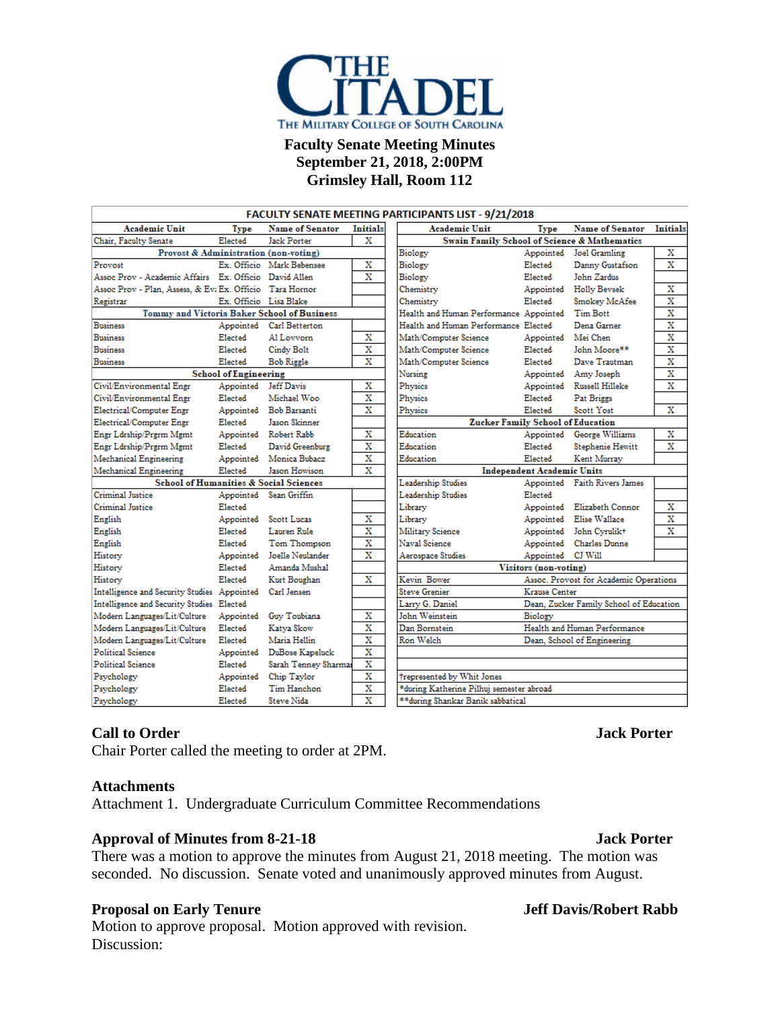

### **Faculty Senate Meeting Minutes September 21, 2018, 2:00PM Grimsley Hall, Room 112**

| <b>FACULTY SENATE MEETING PARTICIPANTS LIST - 9/21/2018</b> |                              |                                             |                         |                                                         |                                   |                                         |                         |
|-------------------------------------------------------------|------------------------------|---------------------------------------------|-------------------------|---------------------------------------------------------|-----------------------------------|-----------------------------------------|-------------------------|
| <b>Academic Unit</b>                                        | Type                         | <b>Name of Senator</b>                      | Initials                | <b>Academic Unit</b>                                    | Type                              | <b>Name of Senator</b>                  | Initials                |
| Chair, Faculty Senate                                       | Elected                      | <b>Jack Porter</b>                          | х                       | <b>Swain Family School of Science &amp; Mathematics</b> |                                   |                                         |                         |
| Provost & Administration (non-voting)                       |                              |                                             |                         | Biology                                                 |                                   | Appointed Joel Gramling                 | х                       |
| Provost                                                     |                              | Ex. Officio Mark Bebensee                   | х                       | Biology                                                 | Elected                           | Danny Gustafson                         | $\overline{\mathbf{x}}$ |
| Assoc Prov - Academic Affairs Ex. Officio David Allen       |                              |                                             | х                       | Biology                                                 | Elected                           | John Zardus                             |                         |
| Assoc Prov - Plan, Assess, & Ev: Ex. Officio Tara Hornor    |                              |                                             |                         | Chemistry                                               | Appointed                         | <b>Holly Beysek</b>                     | X                       |
| Registrar                                                   | Ex. Officio Lisa Blake       |                                             |                         | Chemistry                                               | Elected                           | Smokey McAfee                           | $\overline{\mathbf{x}}$ |
|                                                             |                              | Tommy and Victoria Baker School of Business |                         | Health and Human Performance Appointed                  |                                   | Tim Bott                                | Х                       |
| <b>Business</b>                                             |                              | Appointed Carl Betterton                    |                         | Health and Human Performance Elected                    |                                   | Dena Garner                             | X                       |
| <b>Business</b>                                             | Elected                      | Al Lovvorn                                  | X                       | Math/Computer Science                                   | Appointed Mei Chen                |                                         | x                       |
| <b>Business</b>                                             | Elected                      | Cindy Bolt                                  | X                       | Math/Computer Science                                   | Elected                           | John Moore**                            | X                       |
| <b>Business</b>                                             | Elected                      | <b>Bob Riggle</b>                           | X                       | Math/Computer Science                                   | Elected                           | Dave Trautman                           | $\overline{\mathbf{x}}$ |
|                                                             | <b>School of Engineering</b> |                                             |                         | Nursing                                                 |                                   | Appointed Amy Joseph                    | $\overline{\mathbf{x}}$ |
| Civil/Environmental Engr                                    | Appointed                    | Jeff Davis                                  | х                       | Physics                                                 |                                   | Appointed Russell Hilleke               | $\overline{\mathbf{x}}$ |
| Civil/Environmental Engr                                    | Elected                      | Michael Woo                                 | x                       | Physics                                                 | Elected                           | Pat Briggs                              |                         |
| Electrical/Computer Engr                                    |                              | Appointed Bob Barsanti                      | $\overline{\mathbf{x}}$ | Physics                                                 | Elected                           | Scott Yost                              | $\overline{\mathbf{x}}$ |
| Electrical/Computer Engr                                    | Elected                      | Jason Skinner                               |                         | <b>Zucker Family School of Education</b>                |                                   |                                         |                         |
| Engr Ldrship/Prgrm Mgmt                                     |                              | Appointed Robert Rabb                       | х                       | Education                                               | Appointed                         | George Williams                         | х                       |
| Engr Ldrship/Prgrm Mgmt                                     | Elected                      | David Greenburg                             | х                       | Education                                               | Elected                           | <b>Stephenie Hewitt</b>                 | X                       |
| Mechanical Engineering                                      | Appointed                    | Monica Bubacz                               | x                       | Education                                               | Elected                           | Kent Murray                             |                         |
| Mechanical Engineering                                      | Elected                      | Jason Howison                               | X                       |                                                         | <b>Independent Academic Units</b> |                                         |                         |
| <b>School of Humanities &amp; Social Sciences</b>           |                              |                                             | Leadership Studies      |                                                         | Appointed Faith Rivers James      |                                         |                         |
| Criminal Justice                                            |                              | Appointed Sean Griffin                      |                         | Leadership Studies                                      | Elected                           |                                         |                         |
| Criminal Justice                                            | Elected                      |                                             |                         | Library                                                 |                                   | Appointed Elizabeth Connor              | х                       |
| English                                                     | Appointed                    | Scott Lucas                                 | х                       | Library                                                 |                                   | Appointed Elise Wallace                 | X                       |
| English                                                     | Elected                      | Lauren Rule                                 | $\overline{\mathbf{x}}$ | Military Science                                        |                                   | Appointed John Cyrulik+                 | $\overline{\mathbf{x}}$ |
| English                                                     | Elected                      | Tom Thompson                                | X                       | Naval Science                                           |                                   | Appointed Charles Dunne                 |                         |
| History                                                     | Appointed                    | Joelle Neulander                            | X                       | Aerospace Studies                                       | Appointed CJ Will                 |                                         |                         |
| History                                                     | Elected                      | Amanda Mushal                               |                         | Visitors (non-voting)                                   |                                   |                                         |                         |
| History                                                     | Elected                      | Kurt Boughan                                | x                       | Kevin Bower                                             |                                   | Assoc. Provost for Academic Operations  |                         |
| Intelligence and Security Studies Appointed                 |                              | Carl Jensen                                 |                         | <b>Steve Grenier</b>                                    | Krause Center                     |                                         |                         |
| Intelligence and Security Studies Elected                   |                              |                                             |                         | Larry G. Daniel                                         |                                   | Dean, Zucker Family School of Education |                         |
| Modern Languages/Lit/Culture                                | Appointed                    | Guy Toubiana                                | х                       | John Weinstein                                          | Biology                           |                                         |                         |
| Modern Languages/Lit/Culture                                | Elected                      | Katya Skow                                  | x                       | Dan Bornstein                                           |                                   | Health and Human Performance            |                         |
| Modern Languages/Lit/Culture                                | Elected                      | Maria Hellin                                | X                       | Ron Welch                                               |                                   | Dean, School of Engineering             |                         |
| <b>Political Science</b>                                    |                              | Appointed DuBose Kapeluck                   | $\overline{\mathbf{x}}$ |                                                         |                                   |                                         |                         |
| Political Science                                           | Elected                      | Sarah Tenney Sharmas                        | X                       |                                                         |                                   |                                         |                         |
| Psychology                                                  | Appointed                    | Chip Taylor                                 | x                       | trepresented by Whit Jones                              |                                   |                                         |                         |
| Psychology                                                  | Elected                      | Tim Hanchon                                 | x                       | *during Katherine Pilhuj semester abroad                |                                   |                                         |                         |
| Psychology                                                  | Elected                      | Steve Nida                                  | X                       | **during Shankar Banik sabbatical                       |                                   |                                         |                         |

## **Call to Order Jack Porter**

Chair Porter called the meeting to order at 2PM.

### **Attachments**

Attachment 1. Undergraduate Curriculum Committee Recommendations

### **Approval of Minutes from 8-21-18 Jack Porter**

There was a motion to approve the minutes from August 21, 2018 meeting. The motion was seconded. No discussion. Senate voted and unanimously approved minutes from August.

### **Proposal on Early Tenure Jeff Davis/Robert Rabb**

Motion to approve proposal. Motion approved with revision. Discussion: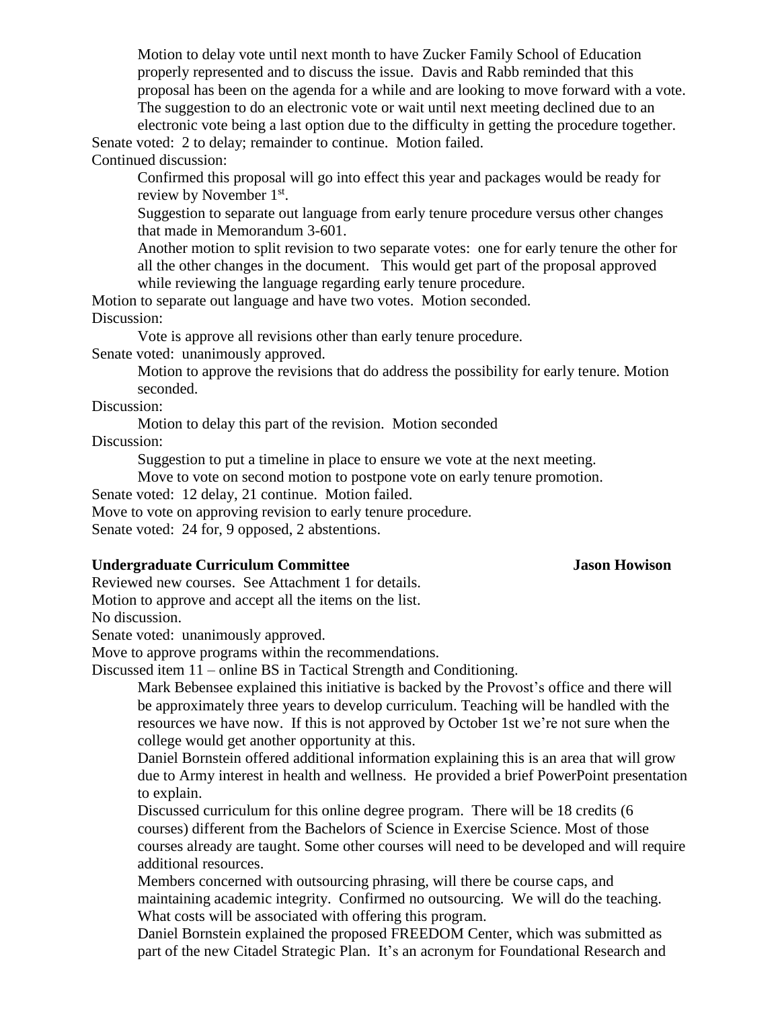Motion to delay vote until next month to have Zucker Family School of Education properly represented and to discuss the issue. Davis and Rabb reminded that this proposal has been on the agenda for a while and are looking to move forward with a vote. The suggestion to do an electronic vote or wait until next meeting declined due to an electronic vote being a last option due to the difficulty in getting the procedure together.

Senate voted: 2 to delay; remainder to continue. Motion failed. Continued discussion:

Confirmed this proposal will go into effect this year and packages would be ready for review by November  $1<sup>st</sup>$ .

Suggestion to separate out language from early tenure procedure versus other changes that made in Memorandum 3-601.

Another motion to split revision to two separate votes: one for early tenure the other for all the other changes in the document. This would get part of the proposal approved while reviewing the language regarding early tenure procedure.

Motion to separate out language and have two votes. Motion seconded. Discussion:

Vote is approve all revisions other than early tenure procedure.

Senate voted: unanimously approved.

Motion to approve the revisions that do address the possibility for early tenure. Motion seconded.

Discussion:

Motion to delay this part of the revision. Motion seconded Discussion:

Suggestion to put a timeline in place to ensure we vote at the next meeting.

Move to vote on second motion to postpone vote on early tenure promotion.

Senate voted: 12 delay, 21 continue. Motion failed.

Move to vote on approving revision to early tenure procedure.

Senate voted: 24 for, 9 opposed, 2 abstentions.

### **Undergraduate Curriculum Committee Jason Howison**

Reviewed new courses. See Attachment 1 for details. Motion to approve and accept all the items on the list. No discussion.

Senate voted: unanimously approved.

Move to approve programs within the recommendations.

Discussed item 11 – online BS in Tactical Strength and Conditioning.

Mark Bebensee explained this initiative is backed by the Provost's office and there will be approximately three years to develop curriculum. Teaching will be handled with the resources we have now. If this is not approved by October 1st we're not sure when the college would get another opportunity at this.

Daniel Bornstein offered additional information explaining this is an area that will grow due to Army interest in health and wellness. He provided a brief PowerPoint presentation to explain.

Discussed curriculum for this online degree program. There will be 18 credits (6 courses) different from the Bachelors of Science in Exercise Science. Most of those courses already are taught. Some other courses will need to be developed and will require additional resources.

Members concerned with outsourcing phrasing, will there be course caps, and maintaining academic integrity. Confirmed no outsourcing. We will do the teaching. What costs will be associated with offering this program.

Daniel Bornstein explained the proposed FREEDOM Center, which was submitted as part of the new Citadel Strategic Plan. It's an acronym for Foundational Research and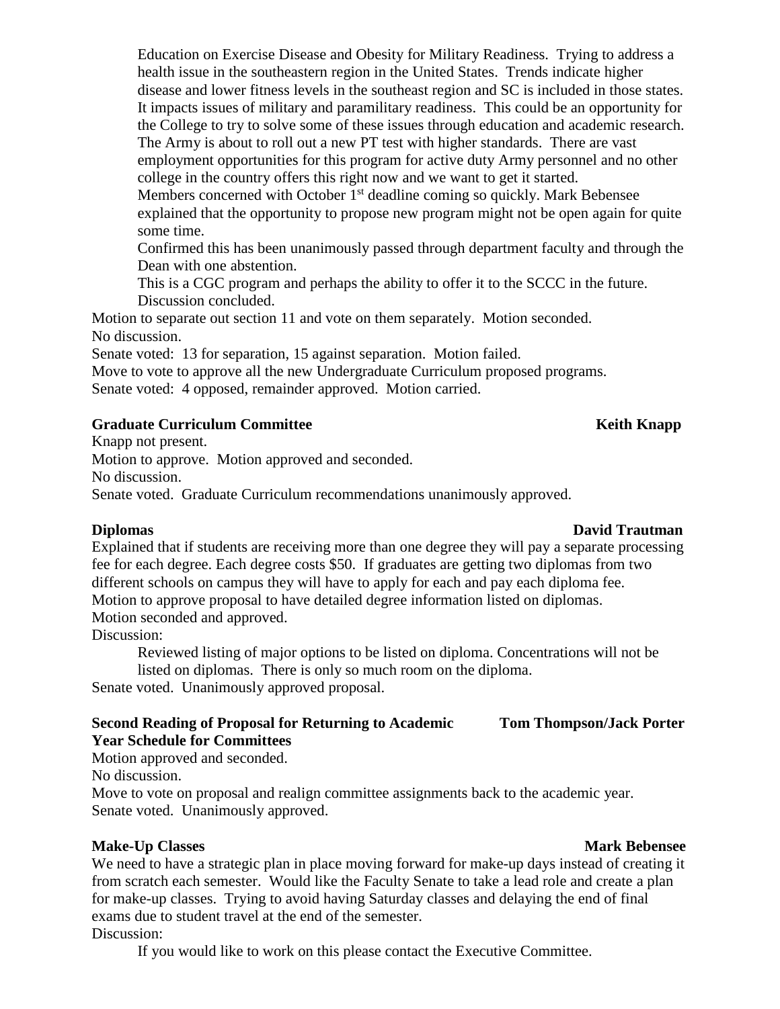Education on Exercise Disease and Obesity for Military Readiness. Trying to address a health issue in the southeastern region in the United States. Trends indicate higher disease and lower fitness levels in the southeast region and SC is included in those states. It impacts issues of military and paramilitary readiness. This could be an opportunity for the College to try to solve some of these issues through education and academic research. The Army is about to roll out a new PT test with higher standards. There are vast employment opportunities for this program for active duty Army personnel and no other college in the country offers this right now and we want to get it started.

Members concerned with October 1<sup>st</sup> deadline coming so quickly. Mark Bebensee explained that the opportunity to propose new program might not be open again for quite some time.

Confirmed this has been unanimously passed through department faculty and through the Dean with one abstention.

This is a CGC program and perhaps the ability to offer it to the SCCC in the future. Discussion concluded.

Motion to separate out section 11 and vote on them separately. Motion seconded. No discussion.

Senate voted: 13 for separation, 15 against separation. Motion failed.

Move to vote to approve all the new Undergraduate Curriculum proposed programs. Senate voted: 4 opposed, remainder approved. Motion carried.

### **Cancer <b>Keith Knapp Committee Keith Knapp Keith Knapp Keith Knapp**

Knapp not present.

Motion to approve. Motion approved and seconded.

No discussion.

Senate voted. Graduate Curriculum recommendations unanimously approved.

## **Diplomas David Trautman**

Explained that if students are receiving more than one degree they will pay a separate processing fee for each degree. Each degree costs \$50. If graduates are getting two diplomas from two different schools on campus they will have to apply for each and pay each diploma fee. Motion to approve proposal to have detailed degree information listed on diplomas. Motion seconded and approved.

Discussion:

Reviewed listing of major options to be listed on diploma. Concentrations will not be listed on diplomas. There is only so much room on the diploma.

Senate voted. Unanimously approved proposal.

## **Second Reading of Proposal for Returning to Academic Tom Thompson/Jack Porter Year Schedule for Committees**

Motion approved and seconded.

No discussion.

Move to vote on proposal and realign committee assignments back to the academic year. Senate voted. Unanimously approved.

## **Make-Up Classes Mark Bebensee**

We need to have a strategic plan in place moving forward for make-up days instead of creating it from scratch each semester. Would like the Faculty Senate to take a lead role and create a plan for make-up classes. Trying to avoid having Saturday classes and delaying the end of final exams due to student travel at the end of the semester.

## Discussion:

If you would like to work on this please contact the Executive Committee.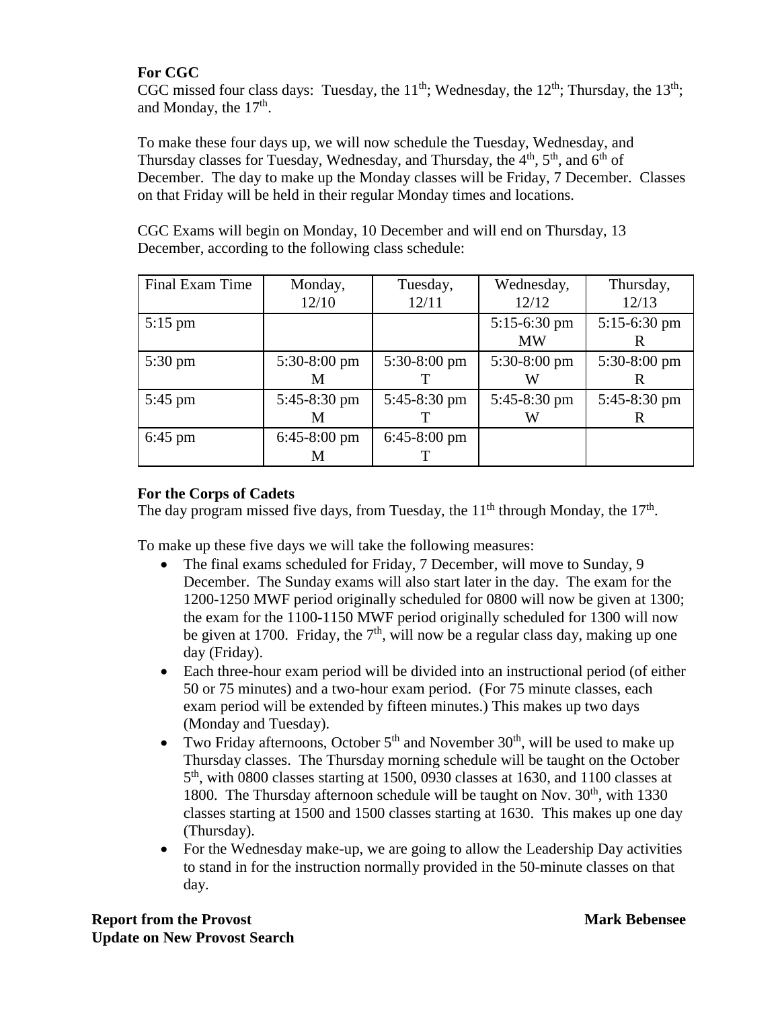## **For CGC**

CGC missed four class days: Tuesday, the  $11^{th}$ ; Wednesday, the  $12^{th}$ ; Thursday, the  $13^{th}$ ; and Monday, the  $17<sup>th</sup>$ .

To make these four days up, we will now schedule the Tuesday, Wednesday, and Thursday classes for Tuesday, Wednesday, and Thursday, the 4<sup>th</sup>, 5<sup>th</sup>, and 6<sup>th</sup> of December. The day to make up the Monday classes will be Friday, 7 December. Classes on that Friday will be held in their regular Monday times and locations.

| CGC Exams will begin on Monday, 10 December and will end on Thursday, 13 |  |
|--------------------------------------------------------------------------|--|
| December, according to the following class schedule:                     |  |

| Final Exam Time   | Monday,                | Tuesday,               | Wednesday,     | Thursday,      |
|-------------------|------------------------|------------------------|----------------|----------------|
|                   | 12/10                  | 12/11                  | 12/12          | 12/13          |
| $5:15$ pm         |                        |                        | $5:15-6:30$ pm | $5:15-6:30$ pm |
|                   |                        |                        | <b>MW</b>      |                |
| $5:30 \text{ pm}$ | 5:30-8:00 pm           | $5:30-8:00$ pm         | $5:30-8:00$ pm | 5:30-8:00 pm   |
|                   | M                      |                        | W              |                |
| $5:45$ pm         | 5:45-8:30 pm           | 5:45-8:30 pm           | 5:45-8:30 pm   | 5:45-8:30 pm   |
|                   | M                      |                        | W              |                |
| $6:45$ pm         | $6:45-8:00 \text{ pm}$ | $6:45-8:00 \text{ pm}$ |                |                |
|                   | M                      |                        |                |                |

## **For the Corps of Cadets**

The day program missed five days, from Tuesday, the  $11<sup>th</sup>$  through Monday, the  $17<sup>th</sup>$ .

To make up these five days we will take the following measures:

- The final exams scheduled for Friday, 7 December, will move to Sunday, 9 December. The Sunday exams will also start later in the day. The exam for the 1200-1250 MWF period originally scheduled for 0800 will now be given at 1300; the exam for the 1100-1150 MWF period originally scheduled for 1300 will now be given at 1700. Friday, the  $7<sup>th</sup>$ , will now be a regular class day, making up one day (Friday).
- Each three-hour exam period will be divided into an instructional period (of either 50 or 75 minutes) and a two-hour exam period. (For 75 minute classes, each exam period will be extended by fifteen minutes.) This makes up two days (Monday and Tuesday).
- Two Friday afternoons, October  $5<sup>th</sup>$  and November  $30<sup>th</sup>$ , will be used to make up Thursday classes. The Thursday morning schedule will be taught on the October 5 th , with 0800 classes starting at 1500, 0930 classes at 1630, and 1100 classes at 1800. The Thursday afternoon schedule will be taught on Nov.  $30<sup>th</sup>$ , with 1330 classes starting at 1500 and 1500 classes starting at 1630. This makes up one day (Thursday).
- For the Wednesday make-up, we are going to allow the Leadership Day activities to stand in for the instruction normally provided in the 50-minute classes on that day.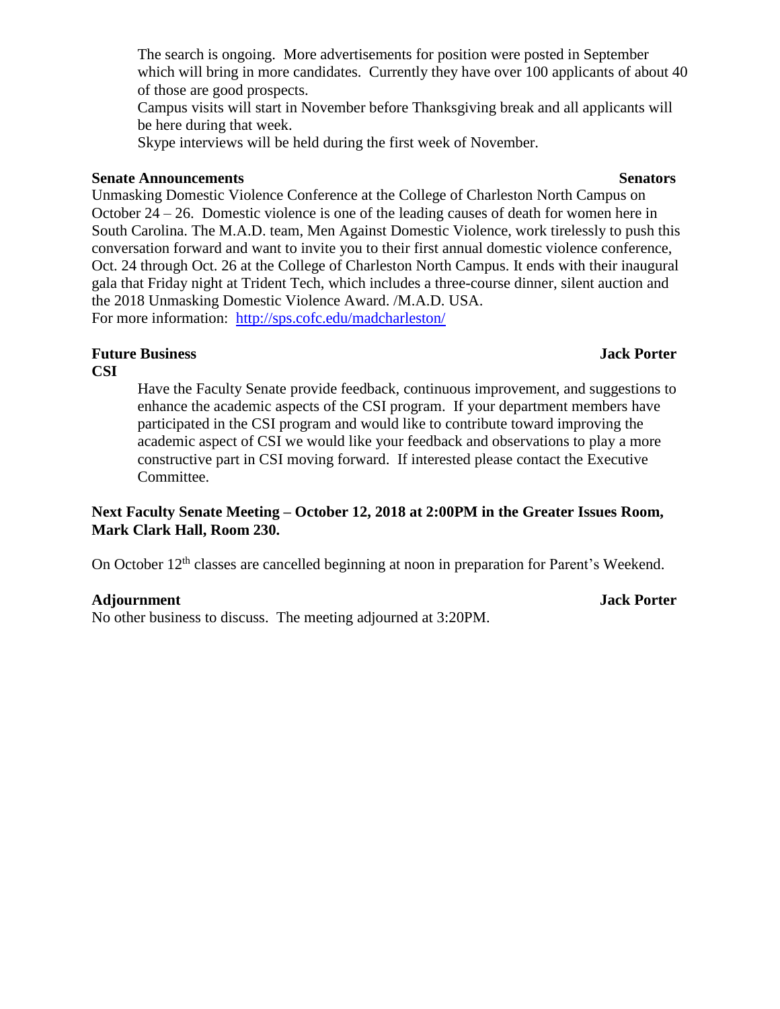Campus visits will start in November before Thanksgiving break and all applicants will be here during that week.

Skype interviews will be held during the first week of November.

## **Senate Announcements** Senators

Unmasking Domestic Violence Conference at the College of Charleston North Campus on October 24 – 26. Domestic violence is one of the leading causes of death for women here in South Carolina. The M.A.D. team, Men Against Domestic Violence, work tirelessly to push this conversation forward and want to invite you to their first annual domestic violence conference, Oct. 24 through Oct. 26 at the College of Charleston North Campus. It ends with their inaugural gala that Friday night at Trident Tech, which includes a three-course dinner, silent auction and the 2018 Unmasking Domestic Violence Award. /M.A.D. USA. For more information: <http://sps.cofc.edu/madcharleston/>

# **Future Business Jack Porter**

## **CSI**

Have the Faculty Senate provide feedback, continuous improvement, and suggestions to enhance the academic aspects of the CSI program. If your department members have participated in the CSI program and would like to contribute toward improving the academic aspect of CSI we would like your feedback and observations to play a more constructive part in CSI moving forward. If interested please contact the Executive Committee.

## **Next Faculty Senate Meeting – October 12, 2018 at 2:00PM in the Greater Issues Room, Mark Clark Hall, Room 230.**

On October 12<sup>th</sup> classes are cancelled beginning at noon in preparation for Parent's Weekend.

# **Adjournment Jack Porter**

No other business to discuss. The meeting adjourned at 3:20PM.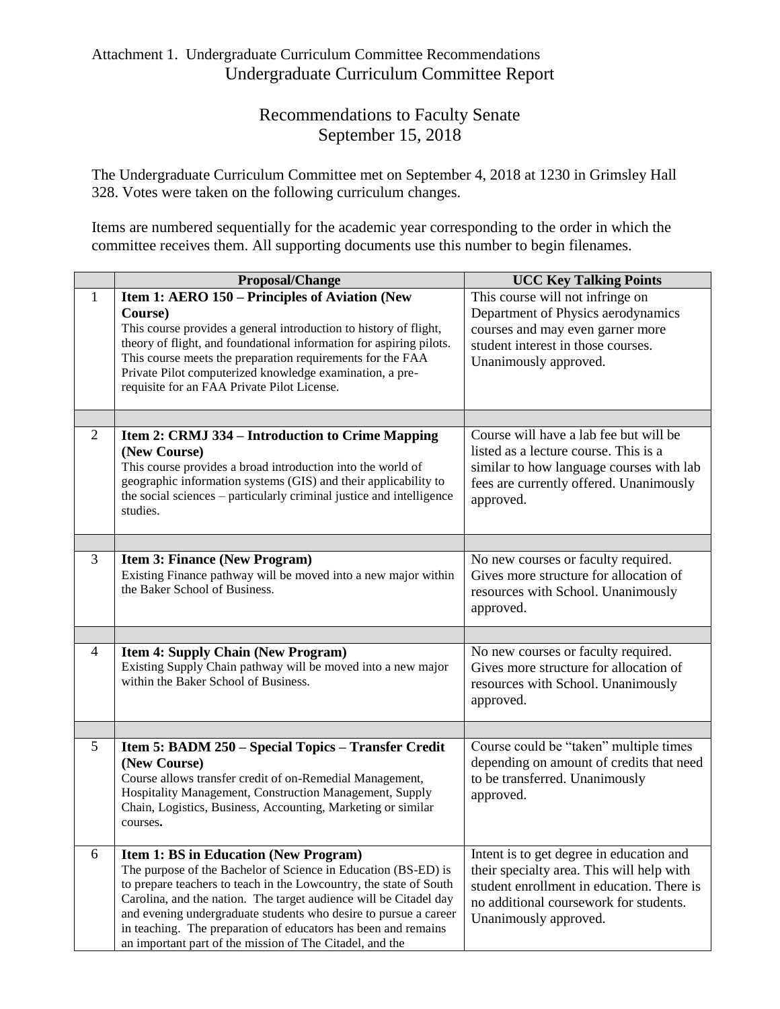## Attachment 1. Undergraduate Curriculum Committee Recommendations Undergraduate Curriculum Committee Report

# Recommendations to Faculty Senate September 15, 2018

The Undergraduate Curriculum Committee met on September 4, 2018 at 1230 in Grimsley Hall 328. Votes were taken on the following curriculum changes.

Items are numbered sequentially for the academic year corresponding to the order in which the committee receives them. All supporting documents use this number to begin filenames.

|              | Proposal/Change                                                                                                                                                                                                                                                                                                                                                                                                                                             | <b>UCC Key Talking Points</b>                                                                                                                                                                         |
|--------------|-------------------------------------------------------------------------------------------------------------------------------------------------------------------------------------------------------------------------------------------------------------------------------------------------------------------------------------------------------------------------------------------------------------------------------------------------------------|-------------------------------------------------------------------------------------------------------------------------------------------------------------------------------------------------------|
| $\mathbf{1}$ | Item 1: AERO 150 – Principles of Aviation (New<br>Course)<br>This course provides a general introduction to history of flight,<br>theory of flight, and foundational information for aspiring pilots.<br>This course meets the preparation requirements for the FAA<br>Private Pilot computerized knowledge examination, a pre-<br>requisite for an FAA Private Pilot License.                                                                              | This course will not infringe on<br>Department of Physics aerodynamics<br>courses and may even garner more<br>student interest in those courses.<br>Unanimously approved.                             |
|              |                                                                                                                                                                                                                                                                                                                                                                                                                                                             |                                                                                                                                                                                                       |
| 2            | <b>Item 2: CRMJ 334 – Introduction to Crime Mapping</b><br>(New Course)<br>This course provides a broad introduction into the world of<br>geographic information systems (GIS) and their applicability to<br>the social sciences – particularly criminal justice and intelligence<br>studies.                                                                                                                                                               | Course will have a lab fee but will be<br>listed as a lecture course. This is a<br>similar to how language courses with lab<br>fees are currently offered. Unanimously<br>approved.                   |
|              |                                                                                                                                                                                                                                                                                                                                                                                                                                                             |                                                                                                                                                                                                       |
| 3            | <b>Item 3: Finance (New Program)</b><br>Existing Finance pathway will be moved into a new major within<br>the Baker School of Business.                                                                                                                                                                                                                                                                                                                     | No new courses or faculty required.<br>Gives more structure for allocation of<br>resources with School. Unanimously<br>approved.                                                                      |
|              |                                                                                                                                                                                                                                                                                                                                                                                                                                                             |                                                                                                                                                                                                       |
| 4            | <b>Item 4: Supply Chain (New Program)</b><br>Existing Supply Chain pathway will be moved into a new major<br>within the Baker School of Business.                                                                                                                                                                                                                                                                                                           | No new courses or faculty required.<br>Gives more structure for allocation of<br>resources with School. Unanimously<br>approved.                                                                      |
|              |                                                                                                                                                                                                                                                                                                                                                                                                                                                             |                                                                                                                                                                                                       |
| 5            | Item 5: BADM 250 - Special Topics - Transfer Credit<br>(New Course)<br>Course allows transfer credit of on-Remedial Management,<br>Hospitality Management, Construction Management, Supply<br>Chain, Logistics, Business, Accounting, Marketing or similar<br>courses.                                                                                                                                                                                      | Course could be "taken" multiple times<br>depending on amount of credits that need<br>to be transferred. Unanimously<br>approved.                                                                     |
| 6            | <b>Item 1: BS in Education (New Program)</b><br>The purpose of the Bachelor of Science in Education (BS-ED) is<br>to prepare teachers to teach in the Lowcountry, the state of South<br>Carolina, and the nation. The target audience will be Citadel day<br>and evening undergraduate students who desire to pursue a career<br>in teaching. The preparation of educators has been and remains<br>an important part of the mission of The Citadel, and the | Intent is to get degree in education and<br>their specialty area. This will help with<br>student enrollment in education. There is<br>no additional coursework for students.<br>Unanimously approved. |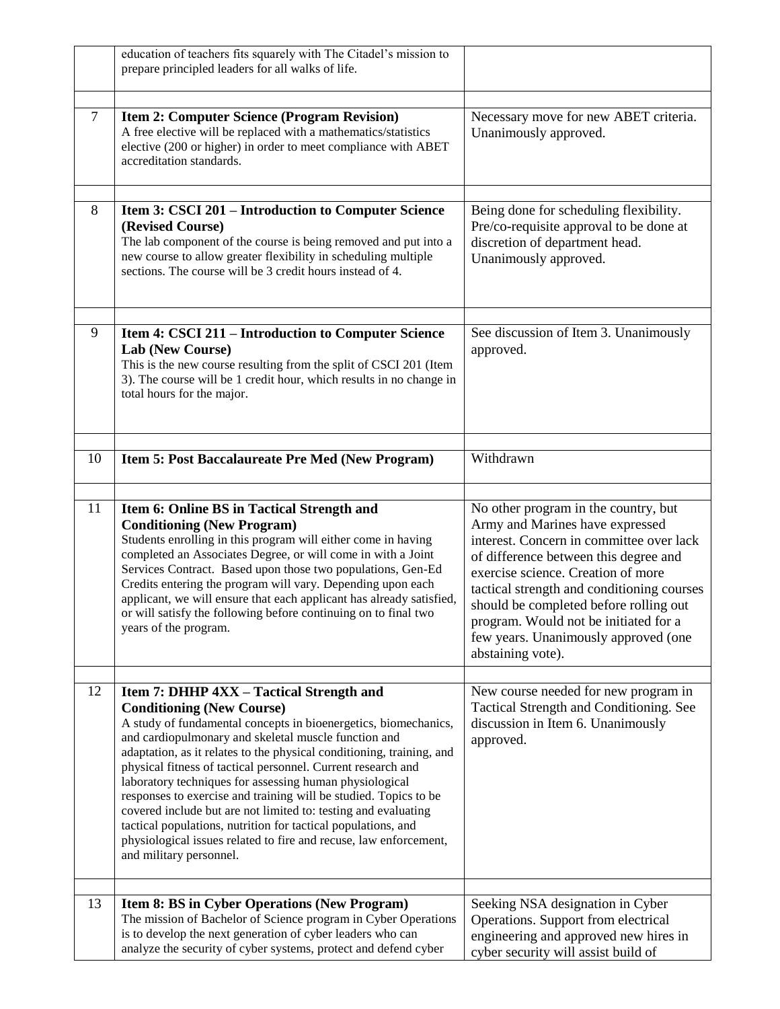|    | education of teachers fits squarely with The Citadel's mission to<br>prepare principled leaders for all walks of life.                                                                                                                                                                                                                                                                                                                                                                                                                                                                                                                                                                                             |                                                                                                                                                                                                                                                                                                                                                                                                  |
|----|--------------------------------------------------------------------------------------------------------------------------------------------------------------------------------------------------------------------------------------------------------------------------------------------------------------------------------------------------------------------------------------------------------------------------------------------------------------------------------------------------------------------------------------------------------------------------------------------------------------------------------------------------------------------------------------------------------------------|--------------------------------------------------------------------------------------------------------------------------------------------------------------------------------------------------------------------------------------------------------------------------------------------------------------------------------------------------------------------------------------------------|
| 7  | <b>Item 2: Computer Science (Program Revision)</b><br>A free elective will be replaced with a mathematics/statistics<br>elective (200 or higher) in order to meet compliance with ABET<br>accreditation standards.                                                                                                                                                                                                                                                                                                                                                                                                                                                                                                 | Necessary move for new ABET criteria.<br>Unanimously approved.                                                                                                                                                                                                                                                                                                                                   |
| 8  | Item 3: CSCI 201 – Introduction to Computer Science<br>(Revised Course)<br>The lab component of the course is being removed and put into a<br>new course to allow greater flexibility in scheduling multiple<br>sections. The course will be 3 credit hours instead of 4.                                                                                                                                                                                                                                                                                                                                                                                                                                          | Being done for scheduling flexibility.<br>Pre/co-requisite approval to be done at<br>discretion of department head.<br>Unanimously approved.                                                                                                                                                                                                                                                     |
| 9  | Item 4: CSCI 211 – Introduction to Computer Science<br><b>Lab (New Course)</b><br>This is the new course resulting from the split of CSCI 201 (Item<br>3). The course will be 1 credit hour, which results in no change in<br>total hours for the major.                                                                                                                                                                                                                                                                                                                                                                                                                                                           | See discussion of Item 3. Unanimously<br>approved.                                                                                                                                                                                                                                                                                                                                               |
| 10 | Item 5: Post Baccalaureate Pre Med (New Program)                                                                                                                                                                                                                                                                                                                                                                                                                                                                                                                                                                                                                                                                   | Withdrawn                                                                                                                                                                                                                                                                                                                                                                                        |
| 11 | Item 6: Online BS in Tactical Strength and<br><b>Conditioning (New Program)</b><br>Students enrolling in this program will either come in having<br>completed an Associates Degree, or will come in with a Joint<br>Services Contract. Based upon those two populations, Gen-Ed<br>Credits entering the program will vary. Depending upon each<br>applicant, we will ensure that each applicant has already satisfied,<br>or will satisfy the following before continuing on to final two<br>years of the program.                                                                                                                                                                                                 | No other program in the country, but<br>Army and Marines have expressed<br>interest. Concern in committee over lack<br>of difference between this degree and<br>exercise science. Creation of more<br>tactical strength and conditioning courses<br>should be completed before rolling out<br>program. Would not be initiated for a<br>few years. Unanimously approved (one<br>abstaining vote). |
| 12 | Item 7: DHHP 4XX - Tactical Strength and<br><b>Conditioning (New Course)</b><br>A study of fundamental concepts in bioenergetics, biomechanics,<br>and cardiopulmonary and skeletal muscle function and<br>adaptation, as it relates to the physical conditioning, training, and<br>physical fitness of tactical personnel. Current research and<br>laboratory techniques for assessing human physiological<br>responses to exercise and training will be studied. Topics to be<br>covered include but are not limited to: testing and evaluating<br>tactical populations, nutrition for tactical populations, and<br>physiological issues related to fire and recuse, law enforcement,<br>and military personnel. | New course needed for new program in<br>Tactical Strength and Conditioning. See<br>discussion in Item 6. Unanimously<br>approved.                                                                                                                                                                                                                                                                |
| 13 | Item 8: BS in Cyber Operations (New Program)<br>The mission of Bachelor of Science program in Cyber Operations<br>is to develop the next generation of cyber leaders who can<br>analyze the security of cyber systems, protect and defend cyber                                                                                                                                                                                                                                                                                                                                                                                                                                                                    | Seeking NSA designation in Cyber<br>Operations. Support from electrical<br>engineering and approved new hires in<br>cyber security will assist build of                                                                                                                                                                                                                                          |